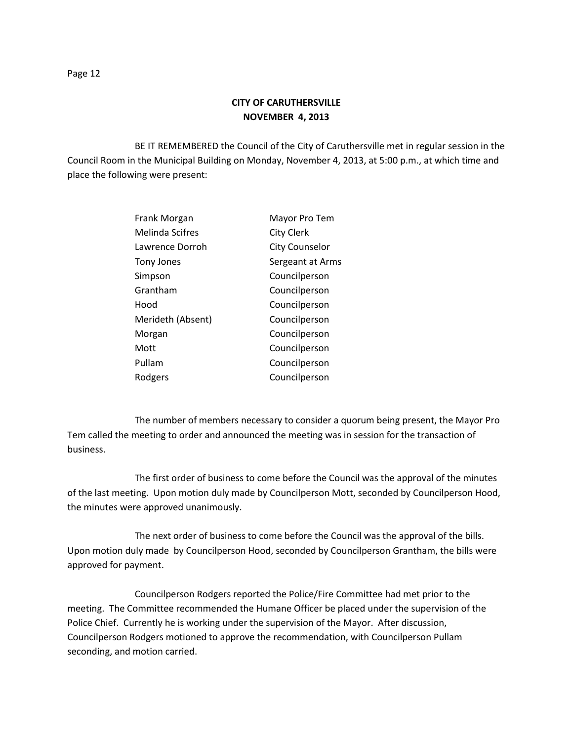BE IT REMEMBERED the Council of the City of Caruthersville met in regular session in the Council Room in the Municipal Building on Monday, November 4, 2013, at 5:00 p.m., at which time and place the following were present:

| Frank Morgan      | Mayor Pro Tem         |
|-------------------|-----------------------|
| Melinda Scifres   | <b>City Clerk</b>     |
| Lawrence Dorroh   | <b>City Counselor</b> |
| <b>Tony Jones</b> | Sergeant at Arms      |
| Simpson           | Councilperson         |
| Grantham          | Councilperson         |
| Hood              | Councilperson         |
| Merideth (Absent) | Councilperson         |
| Morgan            | Councilperson         |
| Mott              | Councilperson         |
| Pullam            | Councilperson         |
| Rodgers           | Councilperson         |

The number of members necessary to consider a quorum being present, the Mayor Pro Tem called the meeting to order and announced the meeting was in session for the transaction of business.

The first order of business to come before the Council was the approval of the minutes of the last meeting. Upon motion duly made by Councilperson Mott, seconded by Councilperson Hood, the minutes were approved unanimously.

The next order of business to come before the Council was the approval of the bills. Upon motion duly made by Councilperson Hood, seconded by Councilperson Grantham, the bills were approved for payment.

Councilperson Rodgers reported the Police/Fire Committee had met prior to the meeting. The Committee recommended the Humane Officer be placed under the supervision of the Police Chief. Currently he is working under the supervision of the Mayor. After discussion, Councilperson Rodgers motioned to approve the recommendation, with Councilperson Pullam seconding, and motion carried.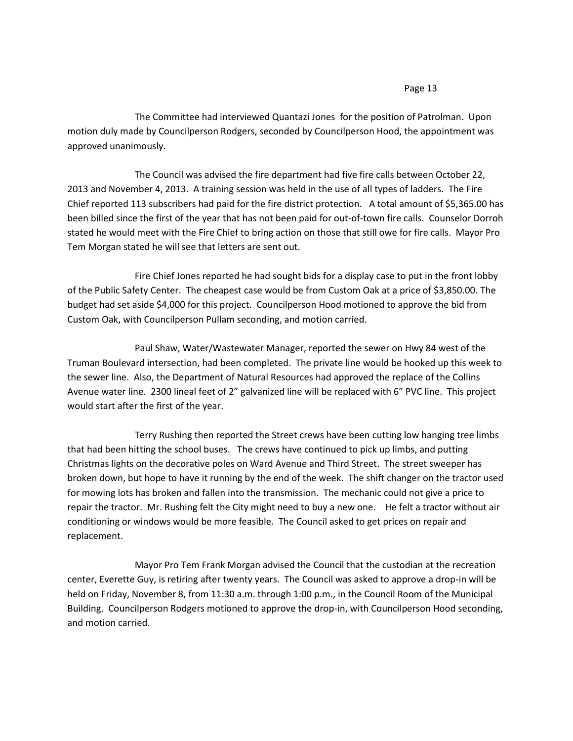## Page 13

The Committee had interviewed Quantazi Jones for the position of Patrolman. Upon motion duly made by Councilperson Rodgers, seconded by Councilperson Hood, the appointment was approved unanimously.

The Council was advised the fire department had five fire calls between October 22, 2013 and November 4, 2013. A training session was held in the use of all types of ladders. The Fire Chief reported 113 subscribers had paid for the fire district protection. A total amount of \$5,365.00 has been billed since the first of the year that has not been paid for out-of-town fire calls. Counselor Dorroh stated he would meet with the Fire Chief to bring action on those that still owe for fire calls. Mayor Pro Tem Morgan stated he will see that letters are sent out.

Fire Chief Jones reported he had sought bids for a display case to put in the front lobby of the Public Safety Center. The cheapest case would be from Custom Oak at a price of \$3,850.00. The budget had set aside \$4,000 for this project. Councilperson Hood motioned to approve the bid from Custom Oak, with Councilperson Pullam seconding, and motion carried.

Paul Shaw, Water/Wastewater Manager, reported the sewer on Hwy 84 west of the Truman Boulevard intersection, had been completed. The private line would be hooked up this week to the sewer line. Also, the Department of Natural Resources had approved the replace of the Collins Avenue water line. 2300 lineal feet of 2" galvanized line will be replaced with 6" PVC line. This project would start after the first of the year.

Terry Rushing then reported the Street crews have been cutting low hanging tree limbs that had been hitting the school buses. The crews have continued to pick up limbs, and putting Christmas lights on the decorative poles on Ward Avenue and Third Street. The street sweeper has broken down, but hope to have it running by the end of the week. The shift changer on the tractor used for mowing lots has broken and fallen into the transmission. The mechanic could not give a price to repair the tractor. Mr. Rushing felt the City might need to buy a new one. He felt a tractor without air conditioning or windows would be more feasible. The Council asked to get prices on repair and replacement.

Mayor Pro Tem Frank Morgan advised the Council that the custodian at the recreation center, Everette Guy, is retiring after twenty years. The Council was asked to approve a drop-in will be held on Friday, November 8, from 11:30 a.m. through 1:00 p.m., in the Council Room of the Municipal Building. Councilperson Rodgers motioned to approve the drop-in, with Councilperson Hood seconding, and motion carried.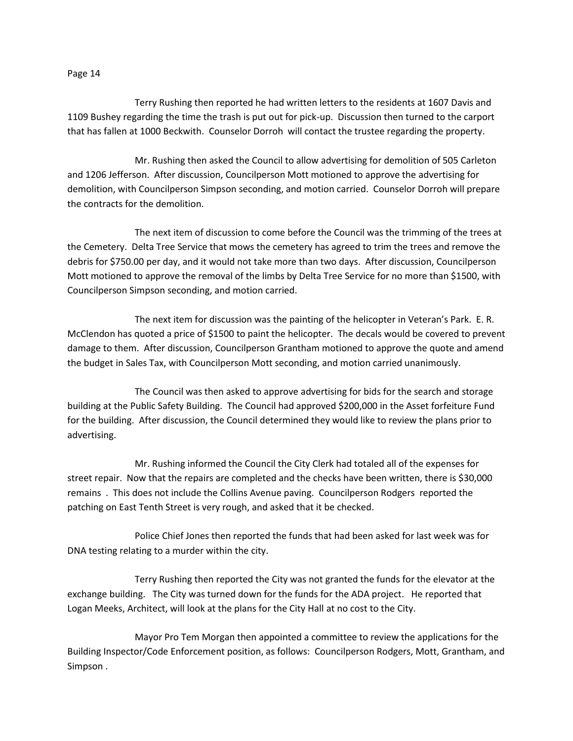## Page 14

Terry Rushing then reported he had written letters to the residents at 1607 Davis and 1109 Bushey regarding the time the trash is put out for pick-up. Discussion then turned to the carport that has fallen at 1000 Beckwith. Counselor Dorroh will contact the trustee regarding the property.

Mr. Rushing then asked the Council to allow advertising for demolition of 505 Carleton and 1206 Jefferson. After discussion, Councilperson Mott motioned to approve the advertising for demolition, with Councilperson Simpson seconding, and motion carried. Counselor Dorroh will prepare the contracts for the demolition.

The next item of discussion to come before the Council was the trimming of the trees at the Cemetery. Delta Tree Service that mows the cemetery has agreed to trim the trees and remove the debris for \$750.00 per day, and it would not take more than two days. After discussion, Councilperson Mott motioned to approve the removal of the limbs by Delta Tree Service for no more than \$1500, with Councilperson Simpson seconding, and motion carried.

The next item for discussion was the painting of the helicopter in Veteran's Park. E. R. McClendon has quoted a price of \$1500 to paint the helicopter. The decals would be covered to prevent damage to them. After discussion, Councilperson Grantham motioned to approve the quote and amend the budget in Sales Tax, with Councilperson Mott seconding, and motion carried unanimously.

The Council was then asked to approve advertising for bids for the search and storage building at the Public Safety Building. The Council had approved \$200,000 in the Asset forfeiture Fund for the building. After discussion, the Council determined they would like to review the plans prior to advertising.

Mr. Rushing informed the Council the City Clerk had totaled all of the expenses for street repair. Now that the repairs are completed and the checks have been written, there is \$30,000 remains . This does not include the Collins Avenue paving. Councilperson Rodgers reported the patching on East Tenth Street is very rough, and asked that it be checked.

Police Chief Jones then reported the funds that had been asked for last week was for DNA testing relating to a murder within the city.

Terry Rushing then reported the City was not granted the funds for the elevator at the exchange building. The City was turned down for the funds for the ADA project. He reported that Logan Meeks, Architect, will look at the plans for the City Hall at no cost to the City.

Mayor Pro Tem Morgan then appointed a committee to review the applications for the Building Inspector/Code Enforcement position, as follows: Councilperson Rodgers, Mott, Grantham, and Simpson .